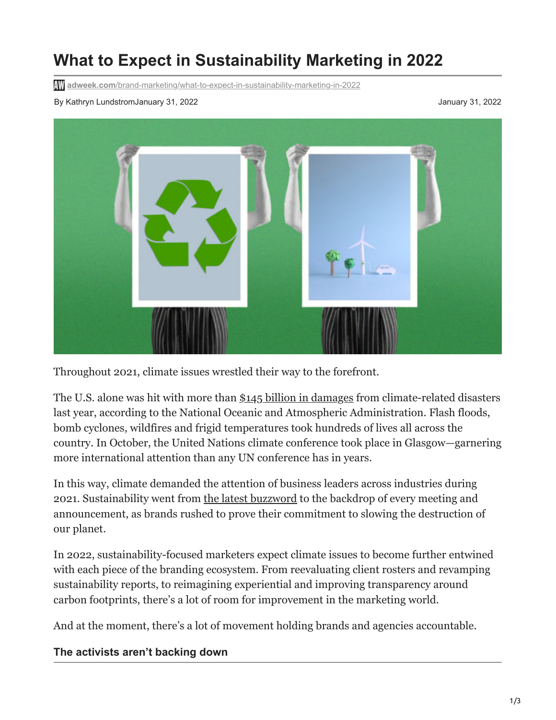# **What to Expect in Sustainability Marketing in 2022**

**adweek.com**[/brand-marketing/what-to-expect-in-sustainability-marketing-in-2022](https://www.adweek.com/brand-marketing/what-to-expect-in-sustainability-marketing-in-2022/)

By Kathryn LundstromJanuary 31, 2022 January 31, 2022



Throughout 2021, climate issues wrestled their way to the forefront.

The U.S. alone was hit with more than [\\$145 billion in damages](https://www.buzzfeednews.com/article/peteraldhous/weather-extremes-climate-crisis-death-toll-2021) from climate-related disasters last year, according to the National Oceanic and Atmospheric Administration. Flash floods, bomb cyclones, wildfires and frigid temperatures took hundreds of lives all across the country. In October, the United Nations climate conference took place in Glasgow—garnering more international attention than any UN conference has in years.

In this way, climate demanded the attention of business leaders across industries during 2021. Sustainability went from [the latest buzzword](https://www.adweek.com/brand-marketing/5-sustainability-trends-that-defined-2021/) to the backdrop of every meeting and announcement, as brands rushed to prove their commitment to slowing the destruction of our planet.

In 2022, sustainability-focused marketers expect climate issues to become further entwined with each piece of the branding ecosystem. From reevaluating client rosters and revamping sustainability reports, to reimagining experiential and improving transparency around carbon footprints, there's a lot of room for improvement in the marketing world.

And at the moment, there's a lot of movement holding brands and agencies accountable.

#### **The activists aren't backing down**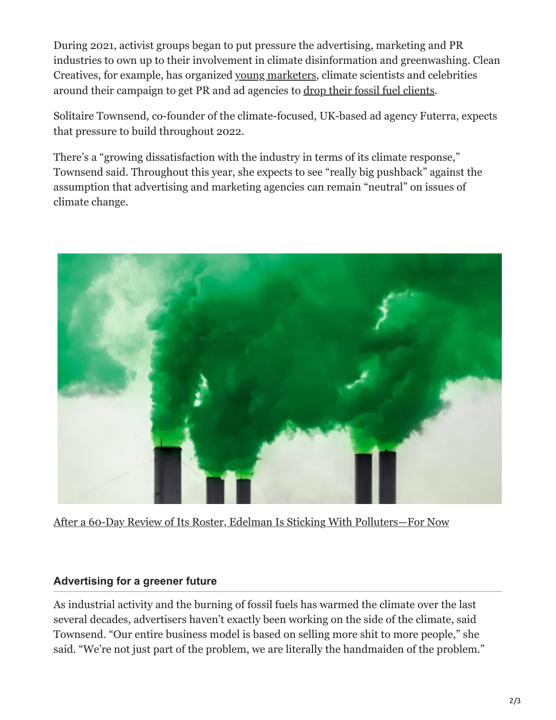During 2021, activist groups began to put pressure the advertising, marketing and PR industries to own up to their involvement in climate disinformation and greenwashing. Clean Creatives, for example, has organized [young marketers,](https://www.adweek.com/brand-marketing/young-marketers-want-ad-agencies-cut-ties-big-oil/) climate scientists and celebrities around their campaign to get PR and ad agencies to [drop their fossil fuel clients](https://www.adweek.com/brand-marketing/turning-agencies-against-fossil-fuel-brands-harkens-back-to-the-tobacco-wars/#:~:text=Clean%20Creatives%2C%20an%20advocacy%20group,fought%20for%20against%20Big%20Tobacco.).

Solitaire Townsend, co-founder of the climate-focused, UK-based ad agency Futerra, expects that pressure to build throughout 2022.

There's a "growing dissatisfaction with the industry in terms of its climate response," Townsend said. Throughout this year, she expects to see "really big pushback" against the assumption that advertising and marketing agencies can remain "neutral" on issues of climate change.



[After a 60-Day Review of Its Roster, Edelman Is Sticking With Polluters—For Now](https://www.adweek.com/brand-marketing/edelman-clients-and-climate/)

#### **Advertising for a greener future**

As industrial activity and the burning of fossil fuels has warmed the climate over the last several decades, advertisers haven't exactly been working on the side of the climate, said Townsend. "Our entire business model is based on selling more shit to more people," she said. "We're not just part of the problem, we are literally the handmaiden of the problem."